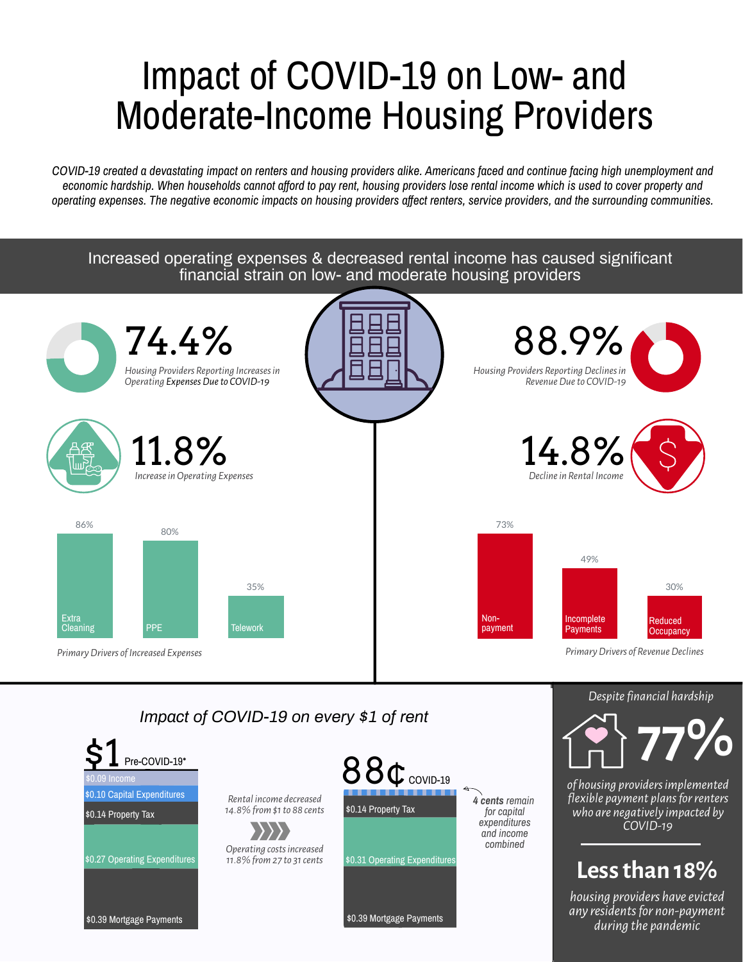# Impact of COVID-19 on Low- and Moderate-Income Housing Providers

COVID-19 created a devastating impact on renters and housing providers alike. Americans faced and continue facing high unemployment and economic hardship. When households cannot afford to pay rent, housing providers lose rental income which is used to cover property and operating expenses. The negative economic impacts on housing providers affect renters, service providers, and the surrounding communities.

> **housing** providers have evicted *any residentsfor non-payment during the pandemic*

*of housing providersimplemented flexible payment plansforrenters who are negatively impacted by COVID-19*

\$0.31 Operating Expenditures \$0.14 Property Tax *Operating costsincreased 11.8%from 27 to 31cents*  $$1$  Pre-COVID-19\*  $880$ *Rental income decreased 14.8% from \$1to 88 cents* COVID-19

Increased operating expenses & decreased rental income has caused significant financial strain on low- and moderate housing providers







## **77%**

### **Lessthan 18%**

\$0.39 Mortgage Payments

\$0.27 Operating Expenditures

\$0.14 Property Tax

\$0.10 Capital Expenditures

#### \$0.09 Income

\$0.39 Mortgage Payments

*Impact of COVID-19 on every \$1 of rent*



*4 cents remain for capital expenditures and income combined*